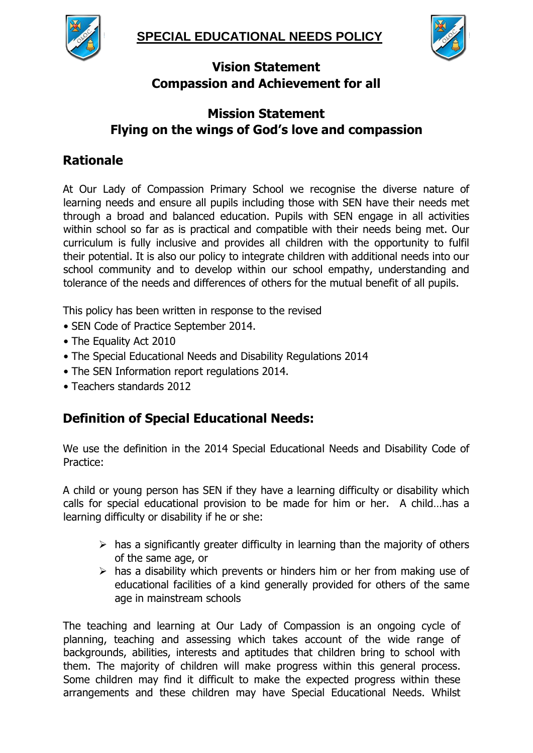



# **Vision Statement Compassion and Achievement for all**

# **Mission Statement Flying on the wings of God's love and compassion**

# **Rationale**

At Our Lady of Compassion Primary School we recognise the diverse nature of learning needs and ensure all pupils including those with SEN have their needs met through a broad and balanced education. Pupils with SEN engage in all activities within school so far as is practical and compatible with their needs being met. Our curriculum is fully inclusive and provides all children with the opportunity to fulfil their potential. It is also our policy to integrate children with additional needs into our school community and to develop within our school empathy, understanding and tolerance of the needs and differences of others for the mutual benefit of all pupils.

This policy has been written in response to the revised

- SEN Code of Practice September 2014.
- The Equality Act 2010
- The Special Educational Needs and Disability Regulations 2014
- The SEN Information report regulations 2014.
- Teachers standards 2012

# **Definition of Special Educational Needs:**

We use the definition in the 2014 Special Educational Needs and Disability Code of Practice:

A child or young person has SEN if they have a learning difficulty or disability which calls for special educational provision to be made for him or her. A child…has a learning difficulty or disability if he or she:

- $\triangleright$  has a significantly greater difficulty in learning than the majority of others of the same age, or
- $\triangleright$  has a disability which prevents or hinders him or her from making use of educational facilities of a kind generally provided for others of the same age in mainstream schools

The teaching and learning at Our Lady of Compassion is an ongoing cycle of planning, teaching and assessing which takes account of the wide range of backgrounds, abilities, interests and aptitudes that children bring to school with them. The majority of children will make progress within this general process. Some children may find it difficult to make the expected progress within these arrangements and these children may have Special Educational Needs. Whilst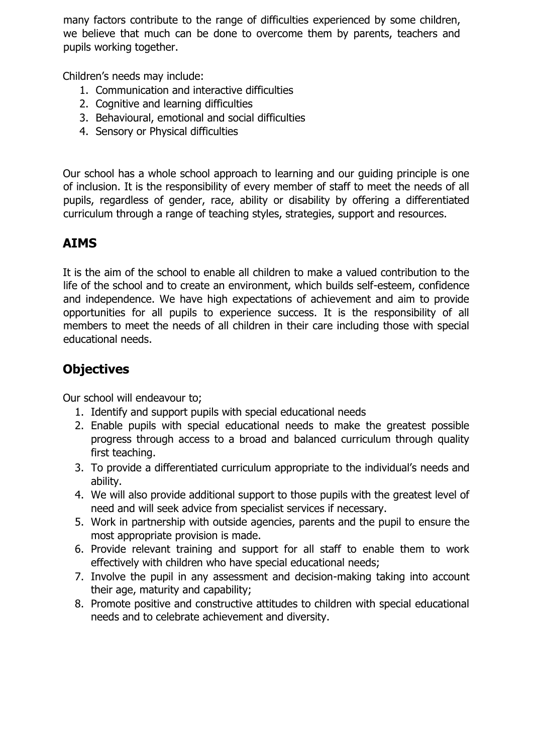many factors contribute to the range of difficulties experienced by some children, we believe that much can be done to overcome them by parents, teachers and pupils working together.

Children's needs may include:

- 1. Communication and interactive difficulties
- 2. Cognitive and learning difficulties
- 3. Behavioural, emotional and social difficulties
- 4. Sensory or Physical difficulties

Our school has a whole school approach to learning and our guiding principle is one of inclusion. It is the responsibility of every member of staff to meet the needs of all pupils, regardless of gender, race, ability or disability by offering a differentiated curriculum through a range of teaching styles, strategies, support and resources.

### **AIMS**

It is the aim of the school to enable all children to make a valued contribution to the life of the school and to create an environment, which builds self-esteem, confidence and independence. We have high expectations of achievement and aim to provide opportunities for all pupils to experience success. It is the responsibility of all members to meet the needs of all children in their care including those with special educational needs.

### **Objectives**

Our school will endeavour to;

- 1. Identify and support pupils with special educational needs
- 2. Enable pupils with special educational needs to make the greatest possible progress through access to a broad and balanced curriculum through quality first teaching.
- 3. To provide a differentiated curriculum appropriate to the individual's needs and ability.
- 4. We will also provide additional support to those pupils with the greatest level of need and will seek advice from specialist services if necessary.
- 5. Work in partnership with outside agencies, parents and the pupil to ensure the most appropriate provision is made.
- 6. Provide relevant training and support for all staff to enable them to work effectively with children who have special educational needs;
- 7. Involve the pupil in any assessment and decision-making taking into account their age, maturity and capability;
- 8. Promote positive and constructive attitudes to children with special educational needs and to celebrate achievement and diversity.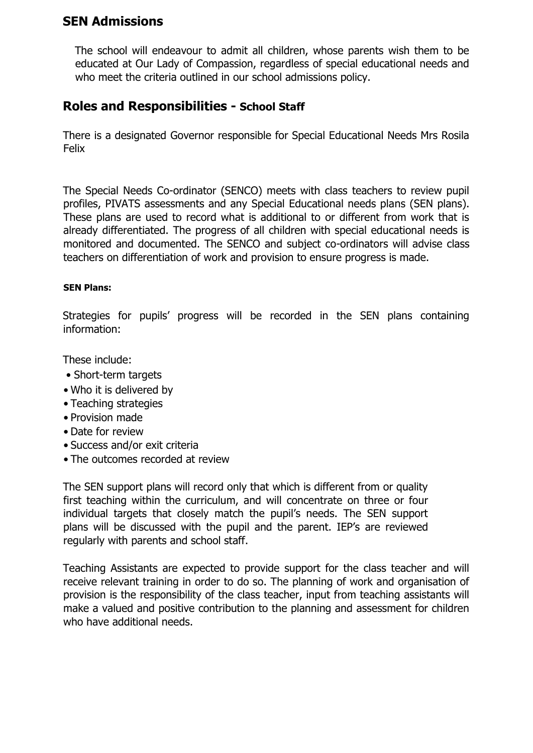### **SEN Admissions**

The school will endeavour to admit all children, whose parents wish them to be educated at Our Lady of Compassion, regardless of special educational needs and who meet the criteria outlined in our school admissions policy.

### **Roles and Responsibilities - School Staff**

There is a designated Governor responsible for Special Educational Needs Mrs Rosila Felix

The Special Needs Co-ordinator (SENCO) meets with class teachers to review pupil profiles, PIVATS assessments and any Special Educational needs plans (SEN plans). These plans are used to record what is additional to or different from work that is already differentiated. The progress of all children with special educational needs is monitored and documented. The SENCO and subject co-ordinators will advise class teachers on differentiation of work and provision to ensure progress is made.

#### **SEN Plans:**

Strategies for pupils' progress will be recorded in the SEN plans containing information:

These include:

- Short-term targets
- Who it is delivered by
- Teaching strategies
- Provision made
- Date for review
- Success and/or exit criteria
- The outcomes recorded at review

The SEN support plans will record only that which is different from or quality first teaching within the curriculum, and will concentrate on three or four individual targets that closely match the pupil's needs. The SEN support plans will be discussed with the pupil and the parent. IEP's are reviewed regularly with parents and school staff.

Teaching Assistants are expected to provide support for the class teacher and will receive relevant training in order to do so. The planning of work and organisation of provision is the responsibility of the class teacher, input from teaching assistants will make a valued and positive contribution to the planning and assessment for children who have additional needs.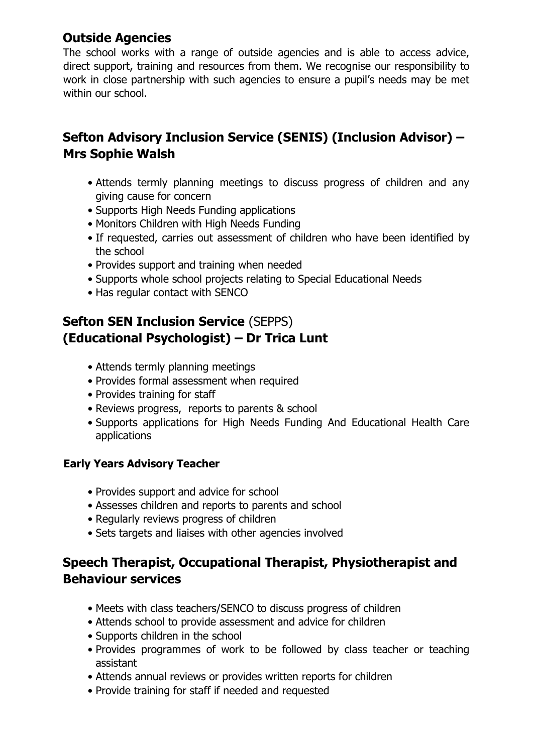### **Outside Agencies**

The school works with a range of outside agencies and is able to access advice, direct support, training and resources from them. We recognise our responsibility to work in close partnership with such agencies to ensure a pupil's needs may be met within our school.

# **Sefton Advisory Inclusion Service (SENIS) (Inclusion Advisor) – Mrs Sophie Walsh**

- Attends termly planning meetings to discuss progress of children and any giving cause for concern
- Supports High Needs Funding applications
- Monitors Children with High Needs Funding
- If requested, carries out assessment of children who have been identified by the school
- Provides support and training when needed
- Supports whole school projects relating to Special Educational Needs
- Has regular contact with SENCO

# **Sefton SEN Inclusion Service** (SEPPS) **(Educational Psychologist) – Dr Trica Lunt**

- Attends termly planning meetings
- Provides formal assessment when required
- Provides training for staff
- Reviews progress, reports to parents & school
- Supports applications for High Needs Funding And Educational Health Care applications

### **Early Years Advisory Teacher**

- Provides support and advice for school
- Assesses children and reports to parents and school
- Regularly reviews progress of children
- Sets targets and liaises with other agencies involved

# **Speech Therapist, Occupational Therapist, Physiotherapist and Behaviour services**

- Meets with class teachers/SENCO to discuss progress of children
- Attends school to provide assessment and advice for children
- Supports children in the school
- Provides programmes of work to be followed by class teacher or teaching assistant
- Attends annual reviews or provides written reports for children
- Provide training for staff if needed and requested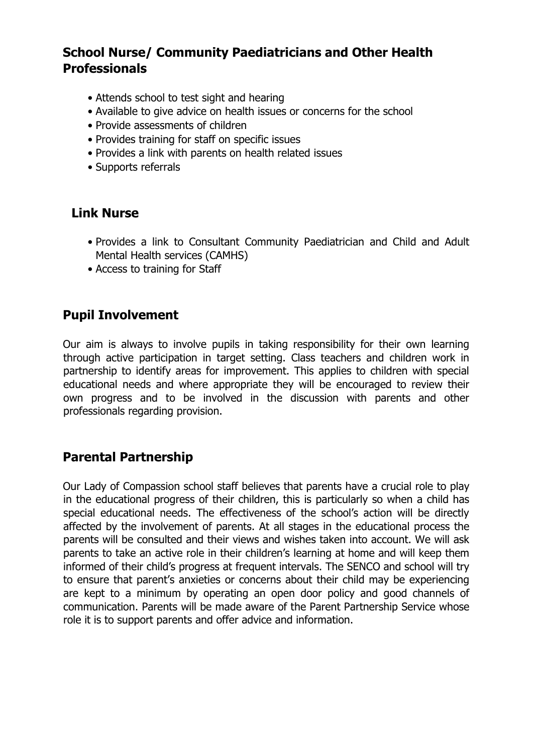## **School Nurse/ Community Paediatricians and Other Health Professionals**

- Attends school to test sight and hearing
- Available to give advice on health issues or concerns for the school
- Provide assessments of children
- Provides training for staff on specific issues
- Provides a link with parents on health related issues
- Supports referrals

### **Link Nurse**

- Provides a link to Consultant Community Paediatrician and Child and Adult Mental Health services (CAMHS)
- Access to training for Staff

### **Pupil Involvement**

Our aim is always to involve pupils in taking responsibility for their own learning through active participation in target setting. Class teachers and children work in partnership to identify areas for improvement. This applies to children with special educational needs and where appropriate they will be encouraged to review their own progress and to be involved in the discussion with parents and other professionals regarding provision.

### **Parental Partnership**

Our Lady of Compassion school staff believes that parents have a crucial role to play in the educational progress of their children, this is particularly so when a child has special educational needs. The effectiveness of the school's action will be directly affected by the involvement of parents. At all stages in the educational process the parents will be consulted and their views and wishes taken into account. We will ask parents to take an active role in their children's learning at home and will keep them informed of their child's progress at frequent intervals. The SENCO and school will try to ensure that parent's anxieties or concerns about their child may be experiencing are kept to a minimum by operating an open door policy and good channels of communication. Parents will be made aware of the Parent Partnership Service whose role it is to support parents and offer advice and information.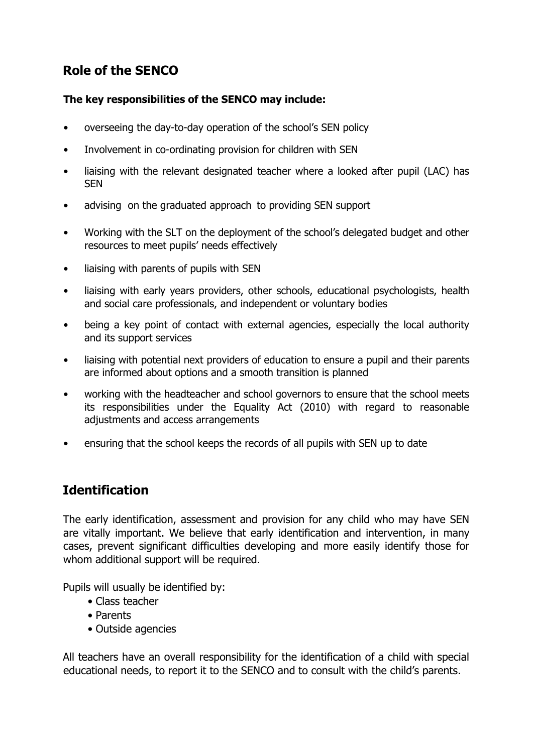# **Role of the SENCO**

#### **The key responsibilities of the SENCO may include:**

- overseeing the day-to-day operation of the school's SEN policy
- Involvement in co-ordinating provision for children with SEN
- liaising with the relevant designated teacher where a looked after pupil (LAC) has **SFN**
- advising on the graduated approach to providing SEN support
- Working with the SLT on the deployment of the school's delegated budget and other resources to meet pupils' needs effectively
- liaising with parents of pupils with SEN
- liaising with early years providers, other schools, educational psychologists, health and social care professionals, and independent or voluntary bodies
- being a key point of contact with external agencies, especially the local authority and its support services
- liaising with potential next providers of education to ensure a pupil and their parents are informed about options and a smooth transition is planned
- working with the headteacher and school governors to ensure that the school meets its responsibilities under the Equality Act (2010) with regard to reasonable adjustments and access arrangements
- ensuring that the school keeps the records of all pupils with SEN up to date

# **Identification**

The early identification, assessment and provision for any child who may have SEN are vitally important. We believe that early identification and intervention, in many cases, prevent significant difficulties developing and more easily identify those for whom additional support will be required.

Pupils will usually be identified by:

- Class teacher
- Parents
- Outside agencies

All teachers have an overall responsibility for the identification of a child with special educational needs, to report it to the SENCO and to consult with the child's parents.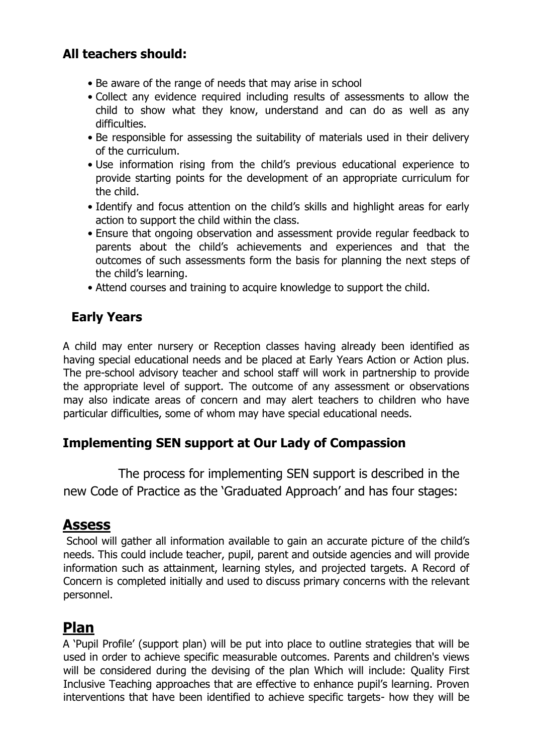# **All teachers should:**

- Be aware of the range of needs that may arise in school
- Collect any evidence required including results of assessments to allow the child to show what they know, understand and can do as well as any difficulties.
- Be responsible for assessing the suitability of materials used in their delivery of the curriculum.
- Use information rising from the child's previous educational experience to provide starting points for the development of an appropriate curriculum for the child.
- Identify and focus attention on the child's skills and highlight areas for early action to support the child within the class.
- Ensure that ongoing observation and assessment provide regular feedback to parents about the child's achievements and experiences and that the outcomes of such assessments form the basis for planning the next steps of the child's learning.
- Attend courses and training to acquire knowledge to support the child.

# **Early Years**

A child may enter nursery or Reception classes having already been identified as having special educational needs and be placed at Early Years Action or Action plus. The pre-school advisory teacher and school staff will work in partnership to provide the appropriate level of support. The outcome of any assessment or observations may also indicate areas of concern and may alert teachers to children who have particular difficulties, some of whom may have special educational needs.

### **Implementing SEN support at Our Lady of Compassion**

 The process for implementing SEN support is described in the new Code of Practice as the 'Graduated Approach' and has four stages:

# **Assess**

School will gather all information available to gain an accurate picture of the child's needs. This could include teacher, pupil, parent and outside agencies and will provide information such as attainment, learning styles, and projected targets. A Record of Concern is completed initially and used to discuss primary concerns with the relevant personnel.

# **Plan**

A 'Pupil Profile' (support plan) will be put into place to outline strategies that will be used in order to achieve specific measurable outcomes. Parents and children's views will be considered during the devising of the plan Which will include: Quality First Inclusive Teaching approaches that are effective to enhance pupil's learning. Proven interventions that have been identified to achieve specific targets- how they will be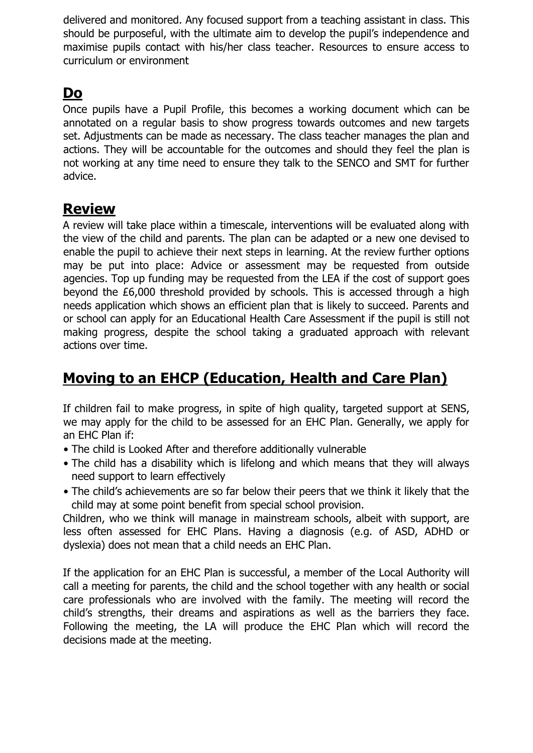delivered and monitored. Any focused support from a teaching assistant in class. This should be purposeful, with the ultimate aim to develop the pupil's independence and maximise pupils contact with his/her class teacher. Resources to ensure access to curriculum or environment

# **Do**

Once pupils have a Pupil Profile, this becomes a working document which can be annotated on a regular basis to show progress towards outcomes and new targets set. Adjustments can be made as necessary. The class teacher manages the plan and actions. They will be accountable for the outcomes and should they feel the plan is not working at any time need to ensure they talk to the SENCO and SMT for further advice.

# **Review**

A review will take place within a timescale, interventions will be evaluated along with the view of the child and parents. The plan can be adapted or a new one devised to enable the pupil to achieve their next steps in learning. At the review further options may be put into place: Advice or assessment may be requested from outside agencies. Top up funding may be requested from the LEA if the cost of support goes beyond the £6,000 threshold provided by schools. This is accessed through a high needs application which shows an efficient plan that is likely to succeed. Parents and or school can apply for an Educational Health Care Assessment if the pupil is still not making progress, despite the school taking a graduated approach with relevant actions over time.

# **Moving to an EHCP (Education, Health and Care Plan)**

If children fail to make progress, in spite of high quality, targeted support at SENS, we may apply for the child to be assessed for an EHC Plan. Generally, we apply for an EHC Plan if:

- The child is Looked After and therefore additionally vulnerable
- The child has a disability which is lifelong and which means that they will always need support to learn effectively
- The child's achievements are so far below their peers that we think it likely that the child may at some point benefit from special school provision.

Children, who we think will manage in mainstream schools, albeit with support, are less often assessed for EHC Plans. Having a diagnosis (e.g. of ASD, ADHD or dyslexia) does not mean that a child needs an EHC Plan.

If the application for an EHC Plan is successful, a member of the Local Authority will call a meeting for parents, the child and the school together with any health or social care professionals who are involved with the family. The meeting will record the child's strengths, their dreams and aspirations as well as the barriers they face. Following the meeting, the LA will produce the EHC Plan which will record the decisions made at the meeting.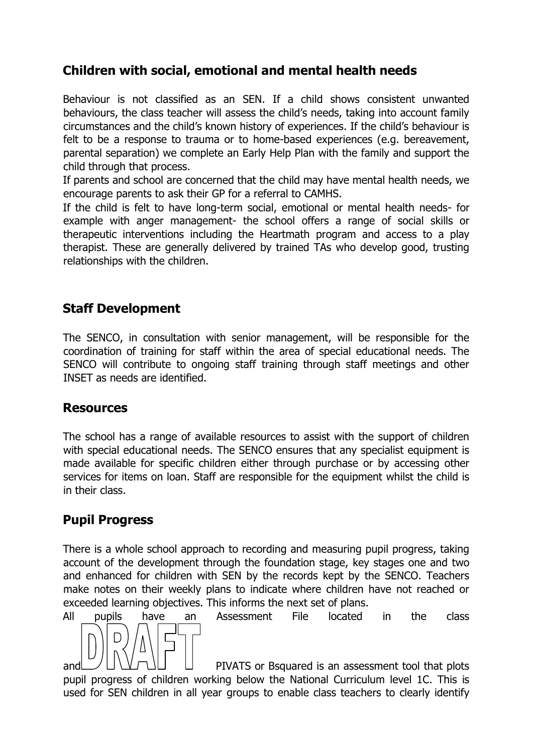# **Children with social, emotional and mental health needs**

Behaviour is not classified as an SEN. If a child shows consistent unwanted behaviours, the class teacher will assess the child's needs, taking into account family circumstances and the child's known history of experiences. If the child's behaviour is felt to be a response to trauma or to home-based experiences (e.g. bereavement, parental separation) we complete an Early Help Plan with the family and support the child through that process.

If parents and school are concerned that the child may have mental health needs, we encourage parents to ask their GP for a referral to CAMHS.

If the child is felt to have long-term social, emotional or mental health needs- for example with anger management- the school offers a range of social skills or therapeutic interventions including the Heartmath program and access to a play therapist. These are generally delivered by trained TAs who develop good, trusting relationships with the children.

### **Staff Development**

The SENCO, in consultation with senior management, will be responsible for the coordination of training for staff within the area of special educational needs. The SENCO will contribute to ongoing staff training through staff meetings and other INSET as needs are identified.

### **Resources**

The school has a range of available resources to assist with the support of children with special educational needs. The SENCO ensures that any specialist equipment is made available for specific children either through purchase or by accessing other services for items on loan. Staff are responsible for the equipment whilst the child is in their class.

### **Pupil Progress**

There is a whole school approach to recording and measuring pupil progress, taking account of the development through the foundation stage, key stages one and two and enhanced for children with SEN by the records kept by the SENCO. Teachers make notes on their weekly plans to indicate where children have not reached or exceeded learning objectives. This informs the next set of plans.



All pupils have an Assessment File located in the class

and  $\cup$   $\cup$   $\cup$   $\cup$   $\cup$   $\cup$   $\cup$  PIVATS or Bsquared is an assessment tool that plots pupil progress of children working below the National Curriculum level 1C. This is used for SEN children in all year groups to enable class teachers to clearly identify